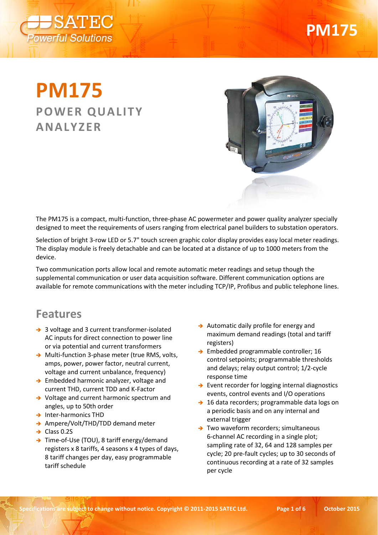

# **PM175**

## **PM175 POWER QUALITY ANALYZER**



The PM175 is a compact, multi-function, three-phase AC powermeter and power quality analyzer specially designed to meet the requirements of users ranging from electrical panel builders to substation operators.

Selection of bright 3-row LED or 5.7" touch screen graphic color display provides easy local meter readings. The display module is freely detachable and can be located at a distance of up to 1000 meters from the device.

Two communication ports allow local and remote automatic meter readings and setup though the supplemental communication or user data acquisition software. Different communication options are available for remote communications with the meter including TCP/IP, Profibus and public telephone lines.

#### **Features**

- → 3 voltage and 3 current transformer-isolated AC inputs for direct connection to power line or via potential and current transformers
- → Multi-function 3-phase meter (true RMS, volts, amps, power, power factor, neutral current, voltage and current unbalance, frequency)
- → Embedded harmonic analyzer, voltage and current THD, current TDD and K-Factor
- → Voltage and current harmonic spectrum and angles, up to 50th order
- $\rightarrow$  Inter-harmonics THD
- → Ampere/Volt/THD/TDD demand meter
- $\rightarrow$  Class 0.2S
- → Time-of-Use (TOU), 8 tariff energy/demand registers x 8 tariffs, 4 seasons x 4 types of days, 8 tariff changes per day, easy programmable tariff schedule
- $\rightarrow$  Automatic daily profile for energy and maximum demand readings (total and tariff registers)
- $\rightarrow$  Embedded programmable controller; 16 control setpoints; programmable thresholds and delays; relay output control; 1/2-cycle response time
- $\rightarrow$  Event recorder for logging internal diagnostics events, control events and I/O operations
- $\rightarrow$  16 data recorders; programmable data logs on a periodic basis and on any internal and external trigger
- $\rightarrow$  Two waveform recorders; simultaneous 6-channel AC recording in a single plot; sampling rate of 32, 64 and 128 samples per cycle; 20 pre-fault cycles; up to 30 seconds of continuous recording at a rate of 32 samples per cycle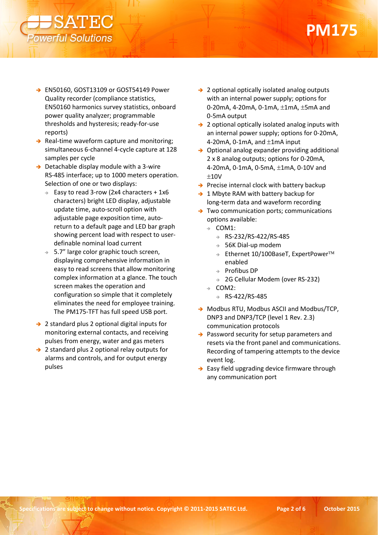

- → EN50160, GOST13109 or GOST54149 Power Quality recorder (compliance statistics, EN50160 harmonics survey statistics, onboard power quality analyzer; programmable thresholds and hysteresis; ready-for-use reports)
- $\rightarrow$  Real-time waveform capture and monitoring; simultaneous 6-channel 4-cycle capture at 128 samples per cycle
- $\rightarrow$  Detachable display module with a 3-wire RS-485 interface; up to 1000 meters operation. Selection of one or two displays:
	- $\rightarrow$  Easy to read 3-row (2x4 characters + 1x6 characters) bright LED display, adjustable update time, auto-scroll option with adjustable page exposition time, autoreturn to a default page and LED bar graph showing percent load with respect to userdefinable nominal load current
	- $\rightarrow$  5.7" large color graphic touch screen, displaying comprehensive information in easy to read screens that allow monitoring complex information at a glance. The touch screen makes the operation and configuration so simple that it completely eliminates the need for employee training. The PM175-TFT has full speed USB port.
- $\rightarrow$  2 standard plus 2 optional digital inputs for monitoring external contacts, and receiving pulses from energy, water and gas meters
- → 2 standard plus 2 optional relay outputs for alarms and controls, and for output energy pulses
- → 2 optional optically isolated analog outputs with an internal power supply; options for 0-20mA, 4-20mA, 0-1mA, ±1mA, ±5mA and 0-5mA output
- $\rightarrow$  2 optional optically isolated analog inputs with an internal power supply; options for 0-20mA, 4-20mA, 0-1mA, and ±1mA input
- $\rightarrow$  Optional analog expander providing additional 2 x 8 analog outputs; options for 0-20mA, 4-20mA, 0-1mA, 0-5mA, ±1mA, 0-10V and  $±10V$
- $\rightarrow$  Precise internal clock with battery backup
- $\rightarrow$  1 Mbyte RAM with battery backup for long-term data and waveform recording
- Two communication ports; communications options available:
	- $\rightarrow$  COM1:
		- $\rightarrow$  RS-232/RS-422/RS-485
		- $\rightarrow$  56K Dial-up modem
		- $\Rightarrow$  Ethernet 10/100BaseT, ExpertPower<sup>TM</sup> enabled
		- $\rightarrow$  Profibus DP
		- → 2G Cellular Modem (over RS-232)
	- $\rightarrow$  COM2:
		- $\rightarrow$  RS-422/RS-485
- → Modbus RTU, Modbus ASCII and Modbus/TCP, DNP3 and DNP3/TCP (level 1 Rev. 2.3) communication protocols
- $\rightarrow$  Password security for setup parameters and resets via the front panel and communications. Recording of tampering attempts to the device event log.
- $\rightarrow$  Easy field upgrading device firmware through any communication port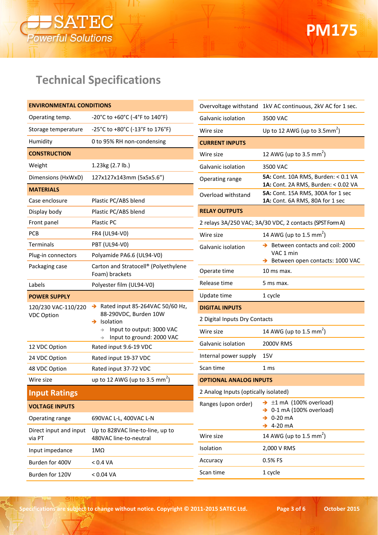

### **Technical Specifications**

| <b>ENVIRONMENTAL CONDITIONS</b>  |                                                            |                                      | Overvoltage withstand 1kV AC continuous, 2kV AC for 1 sec.               |
|----------------------------------|------------------------------------------------------------|--------------------------------------|--------------------------------------------------------------------------|
| Operating temp.                  | -20°C to +60°C (-4°F to 140°F)                             | Galvanic isolation                   | 3500 VAC                                                                 |
| Storage temperature              | -25°C to +80°C (-13°F to 176°F)                            | Wire size                            | Up to 12 AWG (up to $3.5$ mm <sup>2</sup> )                              |
| Humidity                         | 0 to 95% RH non-condensing                                 | <b>CURRENT INPUTS</b>                |                                                                          |
| <b>CONSTRUCTION</b>              |                                                            | Wire size                            | 12 AWG (up to 3.5 mm <sup>2</sup> )                                      |
| Weight                           | 1.23kg (2.7 lb.)                                           | Galvanic isolation                   | 3500 VAC                                                                 |
| Dimensions (HxWxD)               | 127x127x143mm (5x5x5.6")                                   | Operating range                      | 5A: Cont. 10A RMS, Burden: < 0.1 VA                                      |
| <b>MATERIALS</b>                 |                                                            | Overload withstand                   | 1A: Cont. 2A RMS, Burden: < 0.02 VA<br>5A: Cont. 15A RMS, 300A for 1 sec |
| Case enclosure                   | Plastic PC/ABS blend                                       |                                      | 1A: Cont. 6A RMS, 80A for 1 sec                                          |
| Display body                     | Plastic PC/ABS blend                                       | <b>RELAY OUTPUTS</b>                 |                                                                          |
| Front panel                      | Plastic PC                                                 |                                      | 2 relays 3A/250 VAC; 3A/30 VDC, 2 contacts (SPST Form A)                 |
| PCB                              | FR4 (UL94-V0)                                              | Wire size                            | 14 AWG (up to 1.5 mm <sup>2</sup> )                                      |
| Terminals                        | <b>PBT (UL94-V0)</b>                                       | Galvanic isolation                   | $\rightarrow$ Between contacts and coil: 2000                            |
| Plug-in connectors               | Polyamide PA6.6 (UL94-V0)                                  |                                      | VAC 1 min<br>Between open contacts: 1000 VAC                             |
| Packaging case                   | Carton and Stratocell® (Polyethylene<br>Foam) brackets     | Operate time                         | 10 ms max.                                                               |
| Labels                           | Polyester film (UL94-V0)                                   | Release time                         | 5 ms max.                                                                |
|                                  |                                                            |                                      |                                                                          |
| <b>POWER SUPPLY</b>              |                                                            | Update time                          | 1 cycle                                                                  |
| 120/230 VAC-110/220              | Rated input 85-264VAC 50/60 Hz,<br>→                       | <b>DIGITAL INPUTS</b>                |                                                                          |
| <b>VDC Option</b>                | 88-290VDC, Burden 10W<br>$\rightarrow$ Isolation           | 2 Digital Inputs Dry Contacts        |                                                                          |
|                                  | Input to output: 3000 VAC<br>→                             | Wire size                            | 14 AWG (up to 1.5 mm <sup>2</sup> )                                      |
| 12 VDC Option                    | Input to ground: 2000 VAC<br>Rated input 9.6-19 VDC        | Galvanic isolation                   | 2000V RMS                                                                |
| 24 VDC Option                    | Rated input 19-37 VDC                                      | Internal power supply                | 15V                                                                      |
| 48 VDC Option                    | Rated input 37-72 VDC                                      | Scan time                            | 1 <sub>ms</sub>                                                          |
| Wire size                        | up to 12 AWG (up to 3.5 mm <sup>2</sup> )                  | <b>OPTIONAL ANALOG INPUTS</b>        |                                                                          |
| <b>Input Ratings</b>             |                                                            | 2 Analog Inputs (optically isolated) |                                                                          |
| <b>VOLTAGE INPUTS</b>            |                                                            | Ranges (upon order)                  | $\rightarrow \pm 1$ mA (100% overload)                                   |
| Operating range                  | 690VAC L-L, 400VAC L-N                                     |                                      | $\rightarrow$ 0-1 mA (100% overload)<br>$\rightarrow$ 0-20 mA            |
| Direct input and input<br>via PT | Up to 828VAC line-to-line, up to<br>480VAC line-to-neutral | Wire size                            | $\rightarrow$ 4-20 mA<br>14 AWG (up to 1.5 mm <sup>2</sup> )             |
| Input impedance                  | $1M\Omega$                                                 | Isolation                            | 2,000 V RMS                                                              |
| Burden for 400V                  | < 0.4 VA                                                   | Accuracy                             | 0.5% FS                                                                  |

**Specifications are subject to change without notice. Copyright © 2011-2015 SATEC Ltd. Page 3 of 6 October 2015**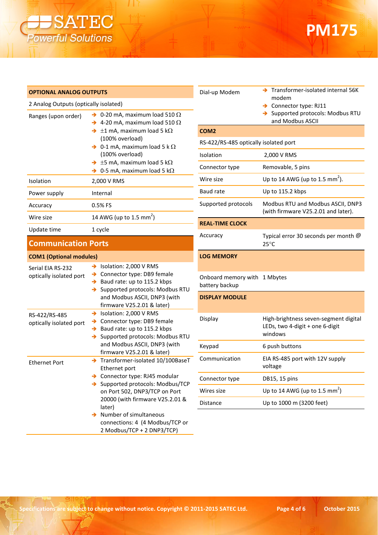

## **PM175**

| <b>OPTIONAL ANALOG OUTPUTS</b>               |                                                                                                                                                        | Dial-up Mod                |
|----------------------------------------------|--------------------------------------------------------------------------------------------------------------------------------------------------------|----------------------------|
| 2 Analog Outputs (optically isolated)        |                                                                                                                                                        |                            |
| Ranges (upon order)                          | $\rightarrow$ 0-20 mA, maximum load 510 $\Omega$<br>$\rightarrow$ 4-20 mA, maximum load 510 $\Omega$                                                   |                            |
|                                              | $\rightarrow \pm 1$ mA, maximum load 5 k $\Omega$                                                                                                      | COM <sub>2</sub>           |
|                                              | (100% overload)<br>$\rightarrow$ 0-1 mA, maximum load 5 k $\Omega$                                                                                     | RS-422/RS-4                |
|                                              | (100% overload)                                                                                                                                        | Isolation                  |
|                                              | $\rightarrow \pm 5$ mA, maximum load 5 k $\Omega$                                                                                                      | Connector ty               |
|                                              | $\rightarrow$ 0-5 mA, maximum load 5 k $\Omega$                                                                                                        | Wire size                  |
| Isolation                                    | 2,000 V RMS                                                                                                                                            |                            |
| Power supply                                 | Internal                                                                                                                                               | <b>Baud rate</b>           |
| Accuracy                                     | 0.5% FS                                                                                                                                                | Supported p                |
| Wire size                                    | 14 AWG (up to 1.5 mm <sup>2</sup> )                                                                                                                    |                            |
| Update time                                  | 1 cycle                                                                                                                                                | <b>REAL-TIME</b>           |
| <b>Communication Ports</b>                   |                                                                                                                                                        | Accuracy                   |
| <b>COM1 (Optional modules)</b>               |                                                                                                                                                        | <b>LOG MEMO</b>            |
| Serial EIA RS-232<br>optically isolated port | $\rightarrow$ Isolation: 2,000 V RMS<br>> Connector type: DB9 female<br>$\rightarrow$ Baud rate: up to 115.2 kbps<br>> Supported protocols: Modbus RTU | Onboard me<br>battery back |
|                                              | and Modbus ASCII, DNP3 (with<br>firmware V25.2.01 & later)                                                                                             | <b>DISPLAY MC</b>          |
| RS-422/RS-485<br>optically isolated port     | Solation: 2,000 V RMS<br>> Connector type: DB9 female<br>$\rightarrow$ Baud rate: up to 115.2 kbps<br>Supported protocols: Modbus RTU<br>→             | Display                    |
|                                              | and Modbus ASCII, DNP3 (with                                                                                                                           | Keypad                     |
| <b>Ethernet Port</b>                         | firmware V25.2.01 & later)<br>Transformer-isolated 10/100BaseT<br>$\rightarrow$<br>Ethernet port                                                       | Communica                  |
|                                              | > Connector type: RJ45 modular                                                                                                                         | Connector ty               |
|                                              | Supported protocols: Modbus/TCP<br>on Port 502, DNP3/TCP on Port                                                                                       | Wires size                 |
|                                              | 20000 (with firmware V25.2.01 &<br>later)                                                                                                              | Distance                   |
|                                              | Number of simultaneous<br>connections: 4 (4 Modbus/TCP or                                                                                              |                            |

| Dial-up Modem                         | $\rightarrow$ Transformer-isolated internal 56K<br>modem<br>$\rightarrow$ Connector type: RJ11<br>> Supported protocols: Modbus RTU<br>and Modbus ASCII |  |
|---------------------------------------|---------------------------------------------------------------------------------------------------------------------------------------------------------|--|
| COM2                                  |                                                                                                                                                         |  |
| RS-422/RS-485 optically isolated port |                                                                                                                                                         |  |
| Isolation                             | 2,000 V RMS                                                                                                                                             |  |
| Connector type                        | Removable, 5 pins                                                                                                                                       |  |
| Wire size                             | Up to 14 AWG (up to 1.5 mm <sup>2</sup> ).                                                                                                              |  |
| <b>Baud rate</b>                      | Up to 115.2 kbps                                                                                                                                        |  |
| Supported protocols                   | Modbus RTU and Modbus ASCII, DNP3<br>(with firmware V25.2.01 and later).                                                                                |  |
| <b>REAL-TIME CLOCK</b>                |                                                                                                                                                         |  |
| Accuracy                              | Typical error 30 seconds per month @<br>$25^{\circ}$ C                                                                                                  |  |
| <b>LOG MEMORY</b>                     |                                                                                                                                                         |  |
| Onboard memory with<br>battery backup | 1 Mbytes                                                                                                                                                |  |
| <b>DISPLAY MODULE</b>                 |                                                                                                                                                         |  |
| Display                               | High-brightness seven-segment digital<br>LEDs, two 4-digit + one 6-digit<br>windows                                                                     |  |
| Keypad                                | 6 push buttons                                                                                                                                          |  |
| Communication                         | EIA RS-485 port with 12V supply<br>voltage                                                                                                              |  |
| Connector type                        | DB15, 15 pins                                                                                                                                           |  |
| Wires size                            | Up to 14 AWG (up to 1.5 mm <sup>2</sup> )                                                                                                               |  |

2 Modbus/TCP + 2 DNP3/TCP)

Up to 1000 m (3200 feet)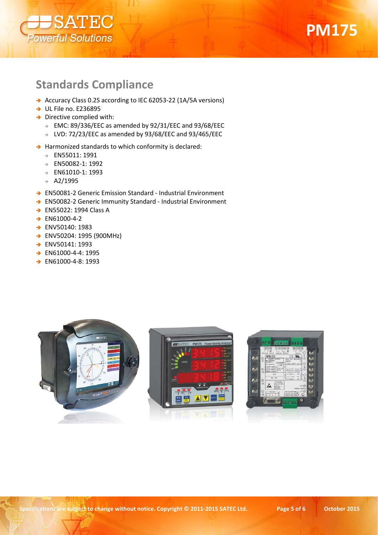



#### **Standards Compliance**

- → Accuracy Class 0.2S according to IEC 62053-22 (1A/5A versions)
- $\rightarrow$  UL File no. E236895
- $\rightarrow$  Directive complied with:
	- EMC: 89/336/EEC as amended by 92/31/EEC and 93/68/EEC
	- LVD: 72/23/EEC as amended by 93/68/EEC and 93/465/EEC
- $\rightarrow$  Harmonized standards to which conformity is declared:
	- EN55011: 1991
	- EN50082-1: 1992
	- EN61010-1: 1993
	- $\rightarrow$  A2/1995
- → EN50081-2 Generic Emission Standard Industrial Environment
- → EN50082-2 Generic Immunity Standard Industrial Environment
- → EN55022: 1994 Class A
- $\rightarrow$  EN61000-4-2
- ENV50140: 1983
- ENV50204: 1995 (900MHz)
- → ENV50141: 1993
- → EN61000-4-4: 1995
- → EN61000-4-8: 1993